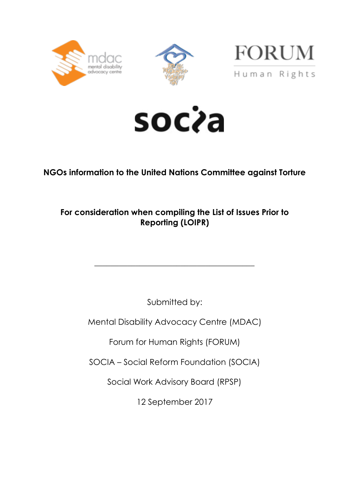







# **NGOs information to the United Nations Committee against Torture**

# **For consideration when compiling the List of Issues Prior to Reporting (LOIPR)**

Submitted by:

**\_\_\_\_\_\_\_\_\_\_\_\_\_\_\_\_\_\_\_\_\_\_\_\_\_\_\_\_\_\_\_\_\_\_\_\_\_\_\_** 

Mental Disability Advocacy Centre (MDAC)

Forum for Human Rights (FORUM)

SOCIA – Social Reform Foundation (SOCIA)

Social Work Advisory Board (RPSP)

12 September 2017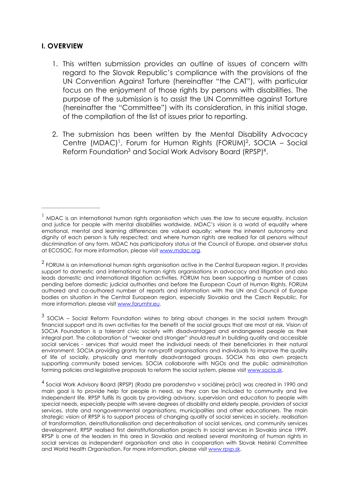# **I. OVERVIEW**

- 1. This written submission provides an outline of issues of concern with regard to the Slovak Republic's compliance with the provisions of the UN Convention Against Torture (hereinafter "the CAT"), with particular focus on the enjoyment of those rights by persons with disabilities. The purpose of the submission is to assist the UN Committee against Torture (hereinafter the "Committee") with its consideration, in this initial stage, of the compilation of the list of issues prior to reporting.
- <span id="page-1-7"></span><span id="page-1-6"></span><span id="page-1-5"></span><span id="page-1-4"></span>2. The submission has been written by the Mental Disability Advocacy Centre (MDAC)<sup>[1](#page-1-0)</sup>, Forum for Human Rights (FORUM)<sup>2</sup>, SOCIA – Social Reform Fou[n](#page-1-2)dation<sup>3</sup> and Social Work Advisory Board (RPSP)<sup>[4](#page-1-3)</sup>.

<span id="page-1-0"></span> $<sup>1</sup>$  $<sup>1</sup>$  $<sup>1</sup>$  MDAC is an international human rights organisation which uses the law to secure equality, inclusion</sup> and justice for people with mental disabilities worldwide. MDAC's vision is a world of equality where emotional, mental and learning differences are valued equally; where the inherent autonomy and dignity of each person is fully respected; and where human rights are realised for all persons without discrimination of any form. MDAC has participatory status at the Council of Europe, and observer status at ECOSOC. For more information, please visit [www.mdac.org.](http://www.mdac.org)

<span id="page-1-1"></span> $2$  FORUM is an international human rights organisation active in the Central European region. It provides support to domestic and international human rights organisations in advocacy and litigation and also leads domestic and international litigation activities. FORUM has been supporting a number of cases pending before domestic judicial authorities and before the European Court of Human Rights. FORUM authored and co-authored number of reports and information with the UN and Council of Europe bodies on situation in the Central European region, especially Slovakia and the Czech Republic. For more information, please visit [www.forumhr.eu](http://www.forumhr.eu).

<span id="page-1-2"></span> $3$  SOCIA – Social Reform Foundation wishes to bring about changes in the social system through financial support and its own activities for the benefit of the social groups that are most at risk. Vision of SOCIA Foundation is a tolerant civic society with disadvantaged and endangered people as their integral part. The collaboration of "weaker and stronger" should result in building quality and accessible social services - services that would meet the individual needs of their beneficiaries in their natural environment. SOCIA providing grants for non-profit organisations and individuals to improve the quality of life of socially, physically and mentally disadvantaged groups. SOCIA has also own projects supporting community based services. SOCIA collaborate with NGOs and the public administration forming policies and legislative proposals to reform the social system, please visit [www.socia.sk.](http://www.socia.sk)

<span id="page-1-3"></span><sup>&</sup>lt;sup>[4](#page-1-7)</sup> Social Work Advisory Board (RPSP) (Rada pre poradenstvo v sociálnej práci) was created in 1990 and main goal is to provide help for people in need, so they can be included to community and live Independent life. RPSP fulfils its goals by providing advisory, supervision and education to people with special needs, especially people with severe degrees of disability and elderly people, providers of social services, state and nongovernmental organisations, municipalities and other educationers. The main strategic vision of RPSP is to support process of changing quality of social services in society, realisation of transformation, deinstitutionalisation and decentralisation of social services, and community services development. RPSP realised first deinstitutionalisation projects in social services in Slovakia since 1999. RPSP is one of the leaders in this area in Slovakia and realised several monitoring of human rights in social services as independent organisation and also in cooperation with Slovak Helsinki Committee and World Health Organisation. For more information, please visit [www.rpsp.sk](http://www.rpsp.sk).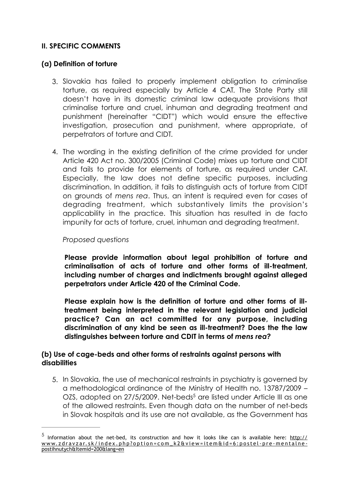#### **II. SPECIFIC COMMENTS**

### **(a) Definition of torture**

- 3. Slovakia has failed to properly implement obligation to criminalise torture, as required especially by Article 4 CAT. The State Party still doesn't have in its domestic criminal law adequate provisions that criminalise torture and cruel, inhuman and degrading treatment and punishment (hereinafter "CIDT") which would ensure the effective investigation, prosecution and punishment, where appropriate, of perpetrators of torture and CIDT.
- 4. The wording in the existing definition of the crime provided for under Article 420 Act no. 300/2005 (Criminal Code) mixes up torture and CIDT and fails to provide for elements of torture, as required under CAT. Especially, the law does not define specific purposes, including discrimination. In addition, it fails to distinguish acts of torture from CIDT on grounds of *mens rea*. Thus, an intent is required even for cases of degrading treatment, which substantively limits the provision's applicability in the practice. This situation has resulted in de facto impunity for acts of torture, cruel, inhuman and degrading treatment.

#### *Proposed questions*

**Please provide information about legal prohibition of torture and criminalisation of acts of torture and other forms of ill-treatment, including number of charges and indictments brought against alleged perpetrators under Article 420 of the Criminal Code.** 

**Please explain how is the definition of torture and other forms of illtreatment being interpreted in the relevant legislation and judicial practice? Can an act committed for any purpose, including discrimination of any kind be seen as ill-treatment? Does the the law distinguishes between torture and CDIT in terms of** *mens rea?*

# **(b) Use of cage-beds and other forms of restraints against persons with disabilities**

<span id="page-2-1"></span>5. In Slovakia, the use of mechanical restraints in psychiatry is governed by a methodological ordinance of the Ministry of Health no. 13787/2009 – OZS, adopted on  $27/5/2009$  $27/5/2009$  $27/5/2009$ . Net-beds<sup>5</sup> are listed under Article III a[s](#page-2-0) one of the allowed restraints. Even though data on the number of net-beds in Slovak hospitals and its use are not available, as the Government has

<span id="page-2-0"></span> $^5$  $^5$  Information about the net-bed, its construction and how it looks like can is available here: http:// [www.zdravzar.sk/index.php?option=com\\_k2&view=item&id=6:postel-pre-mentalne](http://www.zdravzar.sk/index.php?option=com_k2&view=item&id=6:postel-pre-mentalne-postihnutych&Itemid=200&lang=en)postihnutych&Itemid=200&lang=en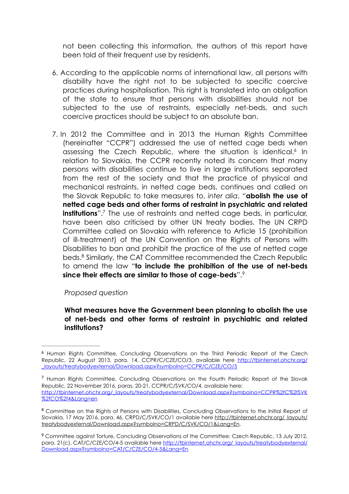not been collecting this information, the authors of this report have been told of their frequent use by residents.

- 6. According to the applicable norms of international law, all persons with disability have the right not to be subjected to specific coercive practices during hospitalisation. This right is translated into an obligation of the state to ensure that persons with disabilities should not be subjected to the use of restraints, especially net-beds, and such coercive practices should be subject to an absolute ban.
- <span id="page-3-4"></span>7. In 2012 the Committee and in 2013 the Human Rights Committee (hereinafter "CCPR") addressed the use of netted cage beds when assessing the Czech Republic, where the situation is identical[.](#page-3-0)<sup>[6](#page-3-0)</sup> In relation to Slovakia, the CCPR recently noted its concern that many persons with disabilities continue to live in large institutions separated from the rest of the society and that the practice of physical and mechanical restraints, in netted cage beds, continues and called on the Slovak Republic to take measures to, *inter alia*, "**abolish the use of netted cage beds and other forms of restraint in psychiatric and related institutions**".<sup>[7](#page-3-1)</sup> The use of restraints and netted cage beds, in particular, have been also criticised by other UN treaty bodies. The UN CRPD Committee called on Slovakia with reference to Article 15 (prohibition of ill-treatment) of the UN Convention on the Rights of Persons with Disabilities to ban and prohibit the practice of the use of netted cage beds[.](#page-3-2)<sup>[8](#page-3-2)</sup> Similarly, the CAT Committee recommended the Czech Republic to amend the law "**to include the prohibition of the use of net-beds since their effects are similar to those of cage-beds**".[9](#page-3-3)

<span id="page-3-7"></span><span id="page-3-6"></span><span id="page-3-5"></span>*Proposed question*

#### **What measures have the Government been planning to abolish the use of net-beds and other forms of restraint in psychiatric and related institutions?**

<span id="page-3-0"></span><sup>&</sup>lt;sup>[6](#page-3-4)</sup> Human Rights Committee, Concluding Observations on the Third Periodic Report of the Czech [Republic, 22 August 2013, para. 14, CCPR/C/CZE/CO/3, available here http://tbinternet.ohchr.org/](http://tbinternet.ohchr.org/_layouts/treatybodyexternal/Download.aspx?symbolno=CCPR/C/CZE/CO/3) \_layouts/treatybodyexternal/Download.aspx?symbolno=CCPR/C/CZE/CO/3

<span id="page-3-1"></span><sup>&</sup>lt;sup>[7](#page-3-5)</sup> Human Rights Committee, Concluding Observations on the Fourth Periodic Report of the Slovak Republic, 22 November 2016, paras. 20-21, CCPR/C/SVK/CO/4, available here: [http://tbinternet.ohchr.org/\\_layouts/treatybodyexternal/Download.aspx?symbolno=CCPR%2fC%2fSVK](http://tbinternet.ohchr.org/_layouts/treatybodyexternal/Download.aspx?symbolno=CCPR%252fC%252fSVK%252fCO%252f4&Lang=en) %2fCO%2f4&Lang=en

<span id="page-3-2"></span><sup>&</sup>lt;sup>[8](#page-3-6)</sup> Committee on the Rights of Persons with Disabilities, Concluding Observations to the Initial Report of Slovakia, 17 May 2016, para. 46, CRPD/C/SVK/CO/1 available here http://tbinternet.ohchr.org/ layouts/ treatybodyexternal/Download.aspx?symbolno=CRPD/C/SVK/CO/1&Lang=En.

<span id="page-3-3"></span>Committee against Torture, Concluding Observations of the Committee: Czech Republic, 13 July 2012, [9](#page-3-7) [para. 21\(c\), CAT/C/CZE/CO/4-5 available here http://tbinternet.ohchr.org/\\_layouts/treatybodyexternal/](http://tbinternet.ohchr.org/_layouts/treatybodyexternal/Download.aspx?symbolno=CAT/C/CZE/CO/4-5&Lang=En) Download.aspx?symbolno=CAT/C/CZE/CO/4-5&Lang=En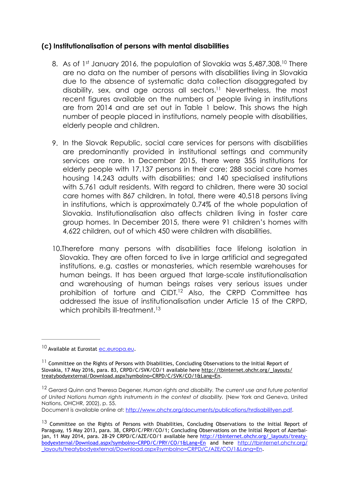### **(c) Institutionalisation of persons with mental disabilities**

- <span id="page-4-5"></span><span id="page-4-4"></span>8[.](#page-4-0) As of 1<sup>st</sup> January 2016, the population of Slovakia was 5,487,308.<sup>[10](#page-4-0)</sup> There are no data on the number of persons with disabilities living in Slovakia due to the absence of systematic data collection disaggregated by disability, sex, and age across all sectors[.](#page-4-1)<sup>[11](#page-4-1)</sup> Nevertheless, the most recent figures available on the numbers of people living in institutions are from 2014 and are set out in Table 1 below. This shows the high number of people placed in institutions, namely people with disabilities, elderly people and children.
- 9. In the Slovak Republic, social care services for persons with disabilities are predominantly provided in institutional settings and community services are rare. In December 2015, there were 355 institutions for elderly people with 17,137 persons in their care; 288 social care homes housing 14,243 adults with disabilities; and 140 specialised institutions with 5,761 adult residents. With regard to children, there were 30 social care homes with 867 children. In total, there were 40,518 persons living in institutions, which is approximately 0.74% of the whole population of Slovakia. Institutionalisation also affects children living in foster care group homes. In December 2015, there were 91 children's homes with 4,622 children, out of which 450 were children with disabilities.
- <span id="page-4-6"></span>10.Therefore many persons with disabilities face lifelong isolation in Slovakia. They are often forced to live in large artificial and segregated institutions, e.g. castles or monasteries, which resemble warehouses for human beings. It has been argued that large-scale institutionalisation and warehousing of human beings raises very serious issues under prohibition of torture and  $CIDI<sup>12</sup>$  $CIDI<sup>12</sup>$  $CIDI<sup>12</sup>$  Also, the CRPD Committee has addressed the issue of institutionalisation under Article 15 of the CRPD, which prohibits ill-treatment.<sup>[13](#page-4-3)</sup>

<span id="page-4-7"></span><span id="page-4-0"></span><sup>10</sup> Available at Eurostat [ec.europa.eu](http://ec.europa.eu).

<span id="page-4-1"></span> $11$  Committee on the Rights of Persons with Disabilities, Concluding Observations to the Initial Report of [Slovakia, 17 May 2016, para. 83, CRPD/C/SVK/CO/1 available here http://tbinternet.ohchr.org/\\_layouts/](http://tbinternet.ohchr.org/_layouts/treatybodyexternal/Download.aspx?symbolno=CRPD/C/SVK/CO/1&Lang=En) treatybodyexternal/Download.aspx?symbolno=CRPD/C/SVK/CO/1&Lang=En.

<span id="page-4-2"></span><sup>&</sup>lt;sup>[12](#page-4-6)</sup> Gerard Quinn and Theresa Degener, *Human rights and disability*. The current use and future potential *of United Nations human rights instruments in the context of disability.* (New York and Geneva, United Nations, OHCHR, 2002), p. 55.

Document is available online at: [http://www.ohchr.org/documents/publications/hrdisabilityen.pdf.](http://www.ohchr.org/documents/publications/hrdisabilityen.pdf)

<span id="page-4-3"></span> $13$  Committee on the Rights of Persons with Disabilities, Concluding Observations to the Initial Report of Paraguay, 15 May 2013, para. 38, CRPD/C/PRY/CO/1; Concluding Observations on the Initial Report of Azerbai[jan, 11 May 2014, para. 28-29 CRPD/C/AZE/CO/1 available here http://tbinternet.ohchr.org/\\_layouts/treaty](http://tbinternet.ohchr.org/_layouts/treatybodyexternal/Download.aspx?symbolno=CRPD/C/PRY/CO/1&Lang=En)bodyexternal/Download.aspx?symbolno=CRPD/C/PRY/CO/1&Lang=En and here http://tbinternet.ohchr.org/ [\\_layouts/treatybodyexternal/Download.aspx?symbolno=CRPD/C/AZE/CO/1&Lang=En](http://tbinternet.ohchr.org/_layouts/treatybodyexternal/Download.aspx?symbolno=CRPD/C/AZE/CO/1&Lang=En).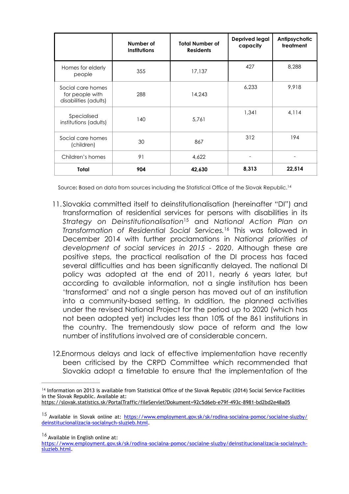|                                                               | Number of<br><b>Institutions</b> | <b>Total Number of</b><br><b>Residents</b> | <b>Deprived legal</b><br>capacity | Antipsychotic<br>treatment |
|---------------------------------------------------------------|----------------------------------|--------------------------------------------|-----------------------------------|----------------------------|
| Homes for elderly<br>people                                   | 355                              | 17,137                                     | 427                               | 8,288                      |
| Social care homes<br>for people with<br>disabilities (adults) | 288                              | 14,243                                     | 6,233                             | 9.918                      |
| Specialised<br>institutions (adults)                          | 140                              | 5.761                                      | 1,341                             | 4,114                      |
| Social care homes<br>(children)                               | 30                               | 867                                        | 312                               | 194                        |
| Children's homes                                              | 91                               | 4.622                                      |                                   |                            |
| <b>Total</b>                                                  | 904                              | 42,630                                     | 8,313                             | 22,514                     |

<span id="page-5-5"></span><span id="page-5-4"></span><span id="page-5-3"></span>Source**:** Based on data from sources including the Statistical Office of the Slovak Republic[.14](#page-5-0)

- 11. Slovakia committed itself to deinstitutionalisation (hereinafter "DI") and transformation of residential services for persons with disabilities in its *Strategy on Deinstitutionalisation*<sup>[15](#page-5-1)</sup> and *National Action Plan on Transformation of Residential Social Services.* This was followed in [16](#page-5-2) December 2014 with further proclamations in *National priorities of development of social services in 2015 - 2020*. Although these are positive steps, the practical realisation of the DI process has faced several difficulties and has been significantly delayed. The national DI policy was adopted at the end of 2011, nearly 6 years later, but according to available information, not a single institution has been 'transformed' and not a single person has moved out of an institution into a community-based setting. In addition, the planned activities under the revised National Project for the period up to 2020 (which has not been adopted yet) includes less than 10% of the 861 institutions in the country. The tremendously slow pace of reform and the low number of institutions involved are of considerable concern.
- 12.Enormous delays and lack of effective implementation have recently been criticised by the CRPD Committee which recommended that Slovakia adopt a timetable to ensure that the implementation of the

<span id="page-5-2"></span> $16$  Available in English online at:

<span id="page-5-0"></span> $14$  Information on 2013 is available from Statistical Office of the Slovak Republic (2014) Social Service Facilities in the Slovak Republic. Available at: <https://slovak.statistics.sk/PortalTraffic/fileServlet?Dokument=92c5d6eb-e79f-493c-8981-bd2bd2e48a05>

<span id="page-5-1"></span><sup>&</sup>lt;sup>15</sup> [Available in Slovak online at: https://www.employment.gov.sk/sk/rodina-socialna-pomoc/socialne-sluzby/](https://www.employment.gov.sk/sk/rodina-socialna-pomoc/socialne-sluzby/deinstitucionalizacia-socialnych-sluzieb.html) deinstitucionalizacia-socialnych-sluzieb.html.

[https://www.employment.gov.sk/sk/rodina-socialna-pomoc/socialne-sluzby/deinstitucionalizacia-socialnych](https://www.employment.gov.sk/sk/rodina-socialna-pomoc/socialne-sluzby/deinstitucionalizacia-socialnych-sluzieb.html)sluzieb.html.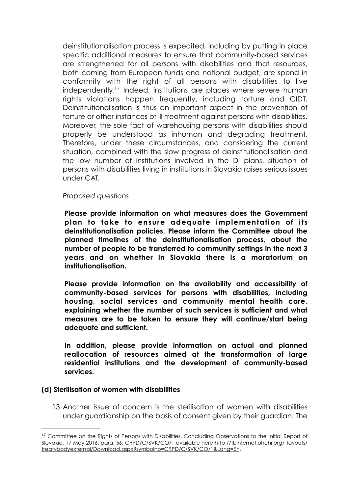<span id="page-6-1"></span>deinstitutionalisation process is expedited, including by putting in place specific additional measures to ensure that community-based services are strengthened for all persons with disabilities and that resources, both coming from European funds and national budget, are spend in conformity with the right of all persons with disabilities to live independently[.](#page-6-0)<sup>[17](#page-6-0)</sup> Indeed, institutions are places where severe human rights violations happen frequently, including torture and CIDT. Deinstitutionalisation is thus an important aspect in the prevention of torture or other instances of ill-treatment against persons with disabilities. Moreover, the sole fact of warehousing persons with disabilities should properly be understood as inhuman and degrading treatment. Therefore, under these circumstances, and considering the current situation, combined with the slow progress of deinstitutionalisation and the low number of institutions involved in the DI plans, situation of persons with disabilities living in institutions in Slovakia raises serious issues under CAT.

#### *Proposed questions*

**Please provide information on what measures does the Government plan to take to ensure adequate implementation of its deinstitutionalisation policies. Please inform the Committee about the planned timelines of the deinstitutionalisation process, about the number of people to be transferred to community settings in the next 3 years and on whether in Slovakia there is a moratorium on institutionalisation.**

**Please provide information on the availability and accessibility of community-based services for persons with disabilities, including housing, social services and community mental health care, explaining whether the number of such services is sufficient and what measures are to be taken to ensure they will continue/start being adequate and sufficient.** 

**In addition, please provide information on actual and planned reallocation of resources aimed at the transformation of large residential institutions and the development of community-based services.**

#### **(d) Sterilisation of women with disabilities**

13.Another issue of concern is the sterilisation of women with disabilities under guardianship on the basis of consent given by their guardian. The

<span id="page-6-0"></span><sup>&</sup>lt;sup>[17](#page-6-1)</sup> Committee on the Rights of Persons with Disabilities, Concluding Observations to the Initial Report of [Slovakia, 17 May 2016, para. 56, CRPD/C/SVK/CO/1 available here http://tbinternet.ohchr.org/\\_layouts/](http://tbinternet.ohchr.org/_layouts/treatybodyexternal/Download.aspx?symbolno=CRPD/C/SVK/CO/1&Lang=En) treatybodyexternal/Download.aspx?symbolno=CRPD/C/SVK/CO/1&Lang=En.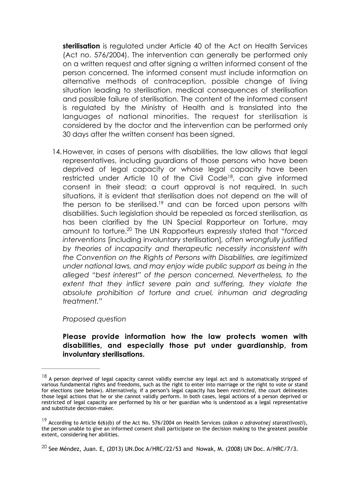**sterilisation** is regulated under Article 40 of the Act on Health Services (Act no. 576/2004). The intervention can generally be performed only on a written request and after signing a written informed consent of the person concerned. The informed consent must include information on alternative methods of contraception, possible change of living situation leading to sterilisation, medical consequences of sterilisation and possible failure of sterilisation. The content of the informed consent is regulated by the Ministry of Health and is translated into the languages of national minorities. The request for sterilisation is considered by the doctor and the intervention can be performed only 30 days after the written consent has been signed.

<span id="page-7-4"></span><span id="page-7-3"></span>14.However, in cases of persons with disabilities, the law allows that legal representatives, including guardians of those persons who have been deprived of legal capacity or whose legal capacity have been restricted under Article 10 of the Civil Code<sup>18</sup>[,](#page-7-0) can give informed consent in their stead; a court approval is not required. In such situations, it is evident that sterilisation does not depend on the will of the person to be sterilised[.](#page-7-1)<sup>[19](#page-7-1)</sup> and can be forced upon persons with disabilities. Such legislation should be repealed as forced sterilisation, as has been clarified by the UN Special Rapporteur on Torture, may amount to torture[.](#page-7-2)<sup>20</sup> The UN Rapporteurs expressly stated that "forced *interventions* [including involuntary sterilisation]*, often wrongfully justified by theories of incapacity and therapeutic necessity inconsistent with the Convention on the Rights of Persons with Disabilities, are legitimized under national laws, and may enjoy wide public support as being in the alleged "best interest" of the person concerned. Nevertheless, to the extent that they inflict severe pain and suffering, they violate the absolute prohibition of torture and cruel, inhuman and degrading treatment."*

#### <span id="page-7-5"></span>*Proposed question*

#### **Please provide information how the law protects women with disabilities, and especially those put under guardianship, from involuntary sterilisations.**

<span id="page-7-0"></span> $^{18}$  $^{18}$  $^{18}$  A person deprived of legal capacity cannot validly exercise any legal act and is automatically stripped of various fundamental rights and freedoms, such as the right to enter into marriage or the right to vote or stand for elections (see below). Alternatively, if a person's legal capacity has been *restricted*, the court delineates those legal actions that he or she cannot validly perform. In both cases, legal actions of a person deprived or restricted of legal capacity are performed by his or her guardian who is understood as a legal representative and substitute decision-maker.

<span id="page-7-1"></span><sup>&</sup>lt;sup>[19](#page-7-4)</sup> According to Article 6(6)(b) of the Act No. 576/2004 on Health Services (zákon o zdravotnej starostlivosti), the person unable to give an informed consent shall participate on the decision making to the greatest possible extent, considering her abilities.

<span id="page-7-2"></span><sup>&</sup>lt;sup>[20](#page-7-5)</sup> See Méndez, Juan. E, (2013) UN.Doc A/HRC/22/53 and Nowak, M. (2008) UN Doc. A/HRC/7/3.